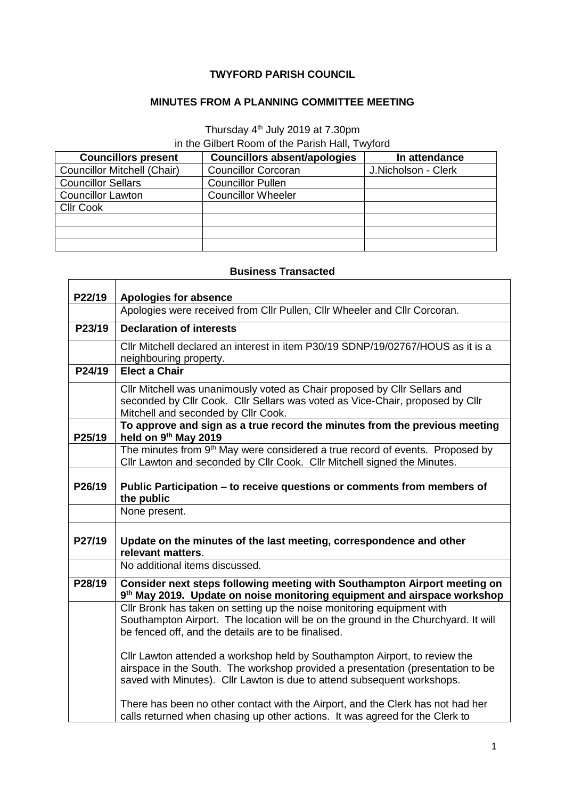## **TWYFORD PARISH COUNCIL**

## **MINUTES FROM A PLANNING COMMITTEE MEETING**

## Thursday 4<sup>th</sup> July 2019 at 7.30pm

in the Gilbert Room of the Parish Hall, Twyford

| <b>Councillors present</b>  | <b>Councillors absent/apologies</b> | In attendance       |
|-----------------------------|-------------------------------------|---------------------|
| Councillor Mitchell (Chair) | <b>Councillor Corcoran</b>          | J.Nicholson - Clerk |
| <b>Councillor Sellars</b>   | <b>Councillor Pullen</b>            |                     |
| <b>Councillor Lawton</b>    | <b>Councillor Wheeler</b>           |                     |
| <b>Cllr Cook</b>            |                                     |                     |
|                             |                                     |                     |
|                             |                                     |                     |
|                             |                                     |                     |

## **Business Transacted**

| P22/19 | Apologies for absence                                                                                                                                                                                                                    |  |
|--------|------------------------------------------------------------------------------------------------------------------------------------------------------------------------------------------------------------------------------------------|--|
|        | Apologies were received from Cllr Pullen, Cllr Wheeler and Cllr Corcoran.                                                                                                                                                                |  |
| P23/19 | <b>Declaration of interests</b>                                                                                                                                                                                                          |  |
|        | Cllr Mitchell declared an interest in item P30/19 SDNP/19/02767/HOUS as it is a<br>neighbouring property.                                                                                                                                |  |
| P24/19 | <b>Elect a Chair</b>                                                                                                                                                                                                                     |  |
|        | Cllr Mitchell was unanimously voted as Chair proposed by Cllr Sellars and<br>seconded by Cllr Cook. Cllr Sellars was voted as Vice-Chair, proposed by Cllr<br>Mitchell and seconded by Cllr Cook.                                        |  |
| P25/19 | To approve and sign as a true record the minutes from the previous meeting<br>held on 9th May 2019                                                                                                                                       |  |
|        | The minutes from 9 <sup>th</sup> May were considered a true record of events. Proposed by<br>Cllr Lawton and seconded by Cllr Cook. Cllr Mitchell signed the Minutes.                                                                    |  |
| P26/19 | Public Participation – to receive questions or comments from members of<br>the public                                                                                                                                                    |  |
|        | None present.                                                                                                                                                                                                                            |  |
| P27/19 | Update on the minutes of the last meeting, correspondence and other<br>relevant matters.                                                                                                                                                 |  |
|        | No additional items discussed.                                                                                                                                                                                                           |  |
| P28/19 | Consider next steps following meeting with Southampton Airport meeting on<br>9 <sup>th</sup> May 2019. Update on noise monitoring equipment and airspace workshop                                                                        |  |
|        | Cllr Bronk has taken on setting up the noise monitoring equipment with<br>Southampton Airport. The location will be on the ground in the Churchyard. It will<br>be fenced off, and the details are to be finalised.                      |  |
|        | Cllr Lawton attended a workshop held by Southampton Airport, to review the<br>airspace in the South. The workshop provided a presentation (presentation to be<br>saved with Minutes). Cllr Lawton is due to attend subsequent workshops. |  |
|        | There has been no other contact with the Airport, and the Clerk has not had her<br>calls returned when chasing up other actions. It was agreed for the Clerk to                                                                          |  |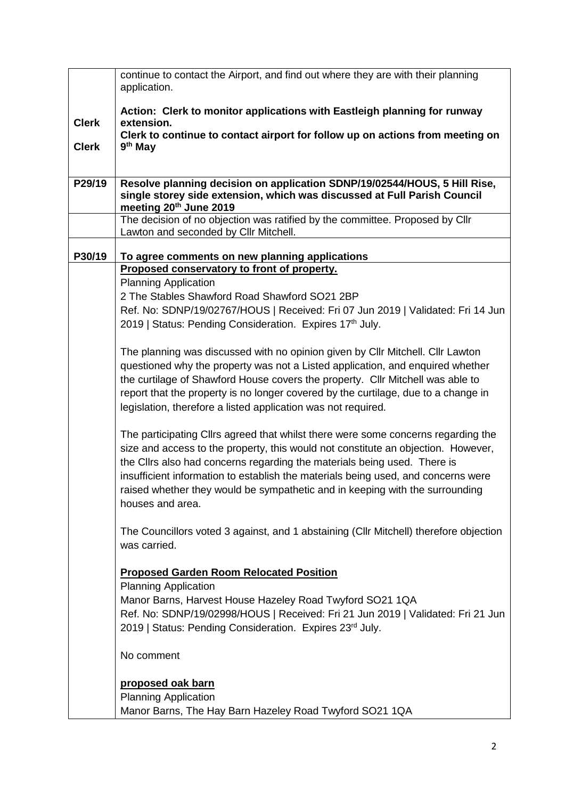|              | continue to contact the Airport, and find out where they are with their planning<br>application.                                                                                                                                                                                                                                                                                                                                            |  |
|--------------|---------------------------------------------------------------------------------------------------------------------------------------------------------------------------------------------------------------------------------------------------------------------------------------------------------------------------------------------------------------------------------------------------------------------------------------------|--|
|              |                                                                                                                                                                                                                                                                                                                                                                                                                                             |  |
| <b>Clerk</b> | Action: Clerk to monitor applications with Eastleigh planning for runway<br>extension.                                                                                                                                                                                                                                                                                                                                                      |  |
|              | Clerk to continue to contact airport for follow up on actions from meeting on                                                                                                                                                                                                                                                                                                                                                               |  |
| <b>Clerk</b> | 9 <sup>th</sup> May                                                                                                                                                                                                                                                                                                                                                                                                                         |  |
|              |                                                                                                                                                                                                                                                                                                                                                                                                                                             |  |
| P29/19       | Resolve planning decision on application SDNP/19/02544/HOUS, 5 Hill Rise,<br>single storey side extension, which was discussed at Full Parish Council<br>meeting 20th June 2019                                                                                                                                                                                                                                                             |  |
|              | The decision of no objection was ratified by the committee. Proposed by Cllr<br>Lawton and seconded by Cllr Mitchell.                                                                                                                                                                                                                                                                                                                       |  |
| P30/19       | To agree comments on new planning applications                                                                                                                                                                                                                                                                                                                                                                                              |  |
|              | Proposed conservatory to front of property.                                                                                                                                                                                                                                                                                                                                                                                                 |  |
|              | <b>Planning Application</b>                                                                                                                                                                                                                                                                                                                                                                                                                 |  |
|              | 2 The Stables Shawford Road Shawford SO21 2BP                                                                                                                                                                                                                                                                                                                                                                                               |  |
|              | Ref. No: SDNP/19/02767/HOUS   Received: Fri 07 Jun 2019   Validated: Fri 14 Jun                                                                                                                                                                                                                                                                                                                                                             |  |
|              | 2019   Status: Pending Consideration. Expires 17th July.                                                                                                                                                                                                                                                                                                                                                                                    |  |
|              | The planning was discussed with no opinion given by Cllr Mitchell. Cllr Lawton<br>questioned why the property was not a Listed application, and enquired whether<br>the curtilage of Shawford House covers the property. Cllr Mitchell was able to<br>report that the property is no longer covered by the curtilage, due to a change in<br>legislation, therefore a listed application was not required.                                   |  |
|              | The participating Cllrs agreed that whilst there were some concerns regarding the<br>size and access to the property, this would not constitute an objection. However,<br>the Cllrs also had concerns regarding the materials being used. There is<br>insufficient information to establish the materials being used, and concerns were<br>raised whether they would be sympathetic and in keeping with the surrounding<br>houses and area. |  |
|              | The Councillors voted 3 against, and 1 abstaining (CIIr Mitchell) therefore objection<br>was carried.                                                                                                                                                                                                                                                                                                                                       |  |
|              | <b>Proposed Garden Room Relocated Position</b><br><b>Planning Application</b>                                                                                                                                                                                                                                                                                                                                                               |  |
|              | Manor Barns, Harvest House Hazeley Road Twyford SO21 1QA<br>Ref. No: SDNP/19/02998/HOUS   Received: Fri 21 Jun 2019   Validated: Fri 21 Jun<br>2019   Status: Pending Consideration. Expires 23rd July.                                                                                                                                                                                                                                     |  |
|              | No comment                                                                                                                                                                                                                                                                                                                                                                                                                                  |  |
|              | proposed oak barn<br><b>Planning Application</b><br>Manor Barns, The Hay Barn Hazeley Road Twyford SO21 1QA                                                                                                                                                                                                                                                                                                                                 |  |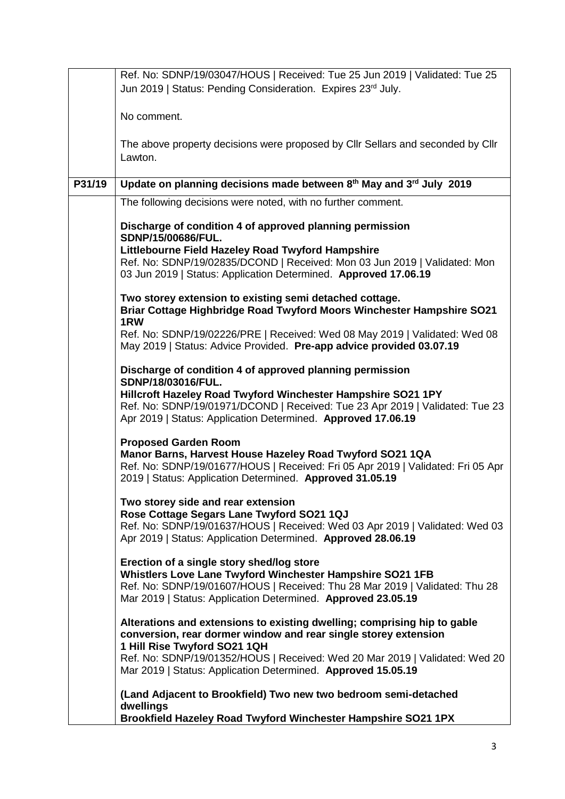|        | Ref. No: SDNP/19/03047/HOUS   Received: Tue 25 Jun 2019   Validated: Tue 25<br>Jun 2019   Status: Pending Consideration. Expires 23rd July.                                                                                                                                                                                |
|--------|----------------------------------------------------------------------------------------------------------------------------------------------------------------------------------------------------------------------------------------------------------------------------------------------------------------------------|
|        | No comment.                                                                                                                                                                                                                                                                                                                |
|        | The above property decisions were proposed by Cllr Sellars and seconded by Cllr<br>Lawton.                                                                                                                                                                                                                                 |
| P31/19 | Update on planning decisions made between 8th May and 3rd July 2019                                                                                                                                                                                                                                                        |
|        | The following decisions were noted, with no further comment.                                                                                                                                                                                                                                                               |
|        | Discharge of condition 4 of approved planning permission<br>SDNP/15/00686/FUL.                                                                                                                                                                                                                                             |
|        | Littlebourne Field Hazeley Road Twyford Hampshire<br>Ref. No: SDNP/19/02835/DCOND   Received: Mon 03 Jun 2019   Validated: Mon<br>03 Jun 2019   Status: Application Determined. Approved 17.06.19                                                                                                                          |
|        | Two storey extension to existing semi detached cottage.<br>Briar Cottage Highbridge Road Twyford Moors Winchester Hampshire SO21<br>1RW                                                                                                                                                                                    |
|        | Ref. No: SDNP/19/02226/PRE   Received: Wed 08 May 2019   Validated: Wed 08<br>May 2019   Status: Advice Provided. Pre-app advice provided 03.07.19                                                                                                                                                                         |
|        | Discharge of condition 4 of approved planning permission<br>SDNP/18/03016/FUL.<br>Hillcroft Hazeley Road Twyford Winchester Hampshire SO21 1PY<br>Ref. No: SDNP/19/01971/DCOND   Received: Tue 23 Apr 2019   Validated: Tue 23<br>Apr 2019   Status: Application Determined. Approved 17.06.19                             |
|        | <b>Proposed Garden Room</b><br>Manor Barns, Harvest House Hazeley Road Twyford SO21 1QA<br>Ref. No: SDNP/19/01677/HOUS   Received: Fri 05 Apr 2019   Validated: Fri 05 Apr<br>2019   Status: Application Determined. Approved 31.05.19                                                                                     |
|        | Two storey side and rear extension<br>Rose Cottage Segars Lane Twyford SO21 1QJ<br>Ref. No: SDNP/19/01637/HOUS   Received: Wed 03 Apr 2019   Validated: Wed 03<br>Apr 2019   Status: Application Determined. Approved 28.06.19                                                                                             |
|        | Erection of a single story shed/log store<br>Whistlers Love Lane Twyford Winchester Hampshire SO21 1FB<br>Ref. No: SDNP/19/01607/HOUS   Received: Thu 28 Mar 2019   Validated: Thu 28<br>Mar 2019   Status: Application Determined. Approved 23.05.19                                                                      |
|        | Alterations and extensions to existing dwelling; comprising hip to gable<br>conversion, rear dormer window and rear single storey extension<br>1 Hill Rise Twyford SO21 1QH<br>Ref. No: SDNP/19/01352/HOUS   Received: Wed 20 Mar 2019   Validated: Wed 20<br>Mar 2019   Status: Application Determined. Approved 15.05.19 |
|        | (Land Adjacent to Brookfield) Two new two bedroom semi-detached<br>dwellings<br>Brookfield Hazeley Road Twyford Winchester Hampshire SO21 1PX                                                                                                                                                                              |